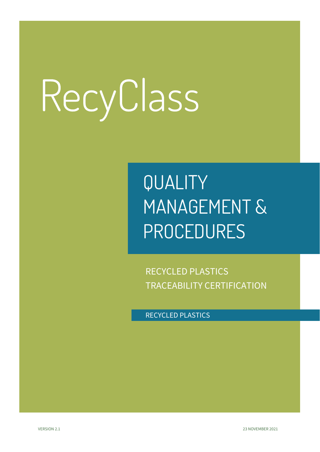## QUALITY MANAGEMENT & PROCEDURES

RECYCLED PLASTICS TRACEABILITY CERTIFICATION

RECYCLED PLASTICS

VERSION 2.1 23 NOVEMBER 2021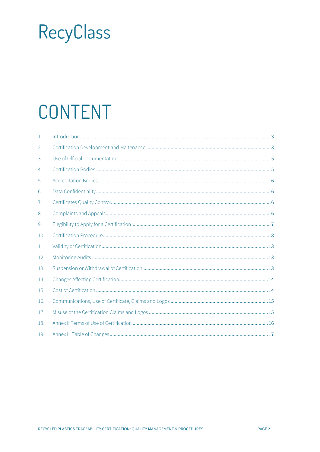## CONTENT

| $\mathbf{1}$ . |  |
|----------------|--|
| 2.             |  |
| 3.             |  |
| 4.             |  |
| 5.             |  |
| 6.             |  |
| 7.             |  |
| 8.             |  |
| 9.             |  |
| 10.            |  |
| 11.            |  |
| 12.            |  |
| 13.            |  |
| 14.            |  |
| 15.            |  |
| 16.            |  |
| 17.            |  |
| 18.            |  |
| 19.            |  |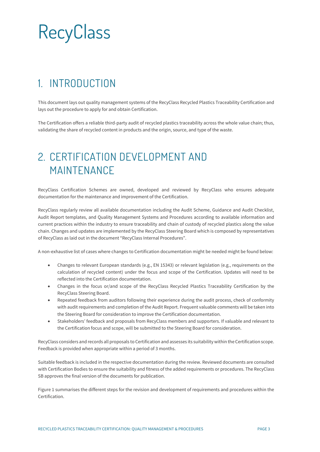### <span id="page-2-0"></span>1. INTRODUCTION

This document lays out quality management systems of the RecyClass Recycled Plastics Traceability Certification and lays out the procedure to apply for and obtain Certification.

The Certification offers a reliable third-party audit of recycled plastics traceability across the whole value chain; thus, validating the share of recycled content in products and the origin, source, and type of the waste.

#### <span id="page-2-1"></span>2. CERTIFICATION DEVELOPMENT AND MAINTENANCE

RecyClass Certification Schemes are owned, developed and reviewed by RecyClass who ensures adequate documentation for the maintenance and improvement of the Certification.

RecyClass regularly review all available documentation including the Audit Scheme, Guidance and Audit Checklist, Audit Report templates, and Quality Management Systems and Procedures according to available information and current practices within the industry to ensure traceability and chain of custody of recycled plastics along the value chain. Changes and updates are implemented by the RecyClass Steering Board which is composed by representatives of RecyClass as laid out in the document "RecyClass Internal Procedures".

A non-exhaustive list of cases where changes to Certification documentation might be needed might be found below:

- Changes to relevant European standards (e.g., EN 15343) or relevant legislation (e.g., requirements on the calculation of recycled content) under the focus and scope of the Certification. Updates will need to be reflected into the Certification documentation.
- Changes in the focus or/and scope of the RecyClass Recycled Plastics Traceability Certification by the RecyClass Steering Board.
- Repeated feedback from auditors following their experience during the audit process, check of conformity with audit requirements and completion of the Audit Report. Frequent valuable comments will be taken into the Steering Board for consideration to improve the Certification documentation.
- Stakeholders' feedback and proposals from RecyClass members and supporters. If valuable and relevant to the Certification focus and scope, will be submitted to the Steering Board for consideration.

RecyClass considers and records all proposals to Certification and assesses its suitability within the Certification scope. Feedback is provided when appropriate within a period of 3 months.

Suitable feedback is included in the respective documentation during the review. Reviewed documents are consulted with Certification Bodies to ensure the suitability and fitness of the added requirements or procedures. The RecyClass SB approves the final version of the documents for publication.

Figure 1 summarises the different steps for the revision and development of requirements and procedures within the Certification.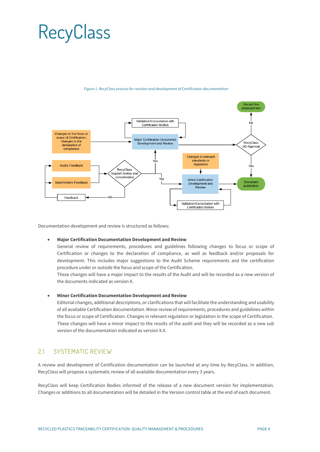

*Figure 1. RecyClass process for revision and development of Certification documentation*

Documentation development and review is structured as follows:

#### • **Major Certification Documentation Development and Review**

General review of requirements, procedures and guidelines following changes to focus or scope of Certification or changes to the declaration of compliance, as well as feedback and/or proposals for development. This includes major suggestions to the Audit Scheme requirements and the certification procedure under or outside the focus and scope of the Certification.

These changes will have a major impact to the results of the Audit and will be recorded as a new version of the documents indicated as version X.

#### • **Minor Certification Documentation Development and Review**

Editorial changes, additional descriptions, or clarifications that will facilitate the understanding and usability of all available Certification documentation. Minor review of requirements, procedures and guidelines within the focus or scope of Certification. Changes in relevant regulation or legislation in the scope of Certification. These changes will have a minor impact to the results of the audit and they will be recorded as a new sub version of the documentation indicated as version X.X.

#### 21 SYSTEMATIC REVIEW

A review and development of Certification documentation can be launched at any time by RecyClass. In addition, RecyClass will propose a systematic review of all available documentation every 3 years.

RecyClass will keep Certification Bodies informed of the release of a new document version for implementation. Changes or additions to all documentation will be detailed in the Version control table at the end of each document.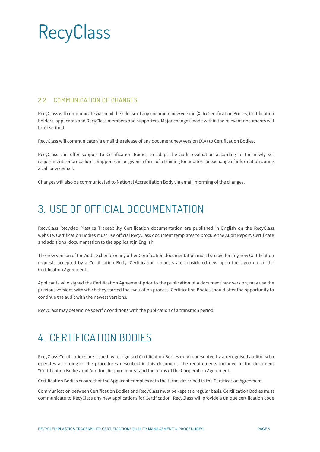#### 2.2 COMMUNICATION OF CHANGES

RecyClass will communicate via email the release of any document new version (X) to Certification Bodies, Certification holders, applicants and RecyClass members and supporters. Major changes made within the relevant documents will be described.

RecyClass will communicate via email the release of any document new version (X.X) to Certification Bodies.

RecyClass can offer support to Certification Bodies to adapt the audit evaluation according to the newly set requirements or procedures. Support can be given in form of a training for auditors or exchange of information during a call or via email.

<span id="page-4-0"></span>Changes will also be communicated to National Accreditation Body via email informing of the changes.

#### 3. USE OF OFFICIAL DOCUMENTATION

RecyClass Recycled Plastics Traceability Certification documentation are published in English on the RecyClass website. Certification Bodies must use official RecyClass document templates to procure the Audit Report, Certificate and additional documentation to the applicant in English.

The new version of the Audit Scheme or any other Certification documentation must be used for any new Certification requests accepted by a Certification Body. Certification requests are considered new upon the signature of the Certification Agreement.

Applicants who signed the Certification Agreement prior to the publication of a document new version, may use the previous versions with which they started the evaluation process. Certification Bodies should offer the opportunity to continue the audit with the newest versions.

<span id="page-4-1"></span>RecyClass may determine specific conditions with the publication of a transition period.

### 4. CERTIFICATION BODIES

RecyClass Certifications are issued by recognised Certification Bodies duly represented by a recognised auditor who operates according to the procedures described in this document, the requirements included in the document "Certification Bodies and Auditors Requirements" and the terms of the Cooperation Agreement.

Certification Bodies ensure that the Applicant complies with the terms described in the Certification Agreement.

Communication between Certification Bodies and RecyClass must be kept at a regular basis. Certification Bodies must communicate to RecyClass any new applications for Certification. RecyClass will provide a unique certification code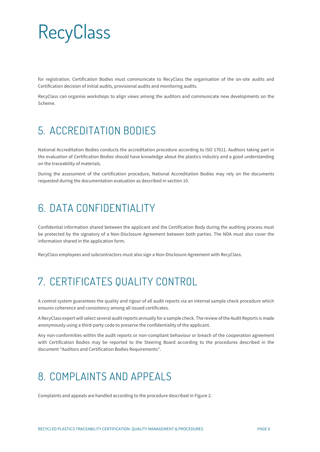for registration. Certification Bodies must communicate to RecyClass the organisation of the on-site audits and Certification decision of initial audits, provisional audits and monitoring audits.

RecyClass can organise workshops to align views among the auditors and communicate new developments on the Scheme.

### <span id="page-5-0"></span>5. ACCREDITATION BODIES

National Accreditation Bodies conducts the accreditation procedure according to ISO 17011. Auditors taking part in the evaluation of Certification Bodies should have knowledge about the plastics industry and a good understanding on the traceability of materials.

During the assessment of the certification procedure, National Accreditation Bodies may rely on the documents requested during the documentation evaluation as described in section 10.

#### <span id="page-5-1"></span>6. DATA CONFIDENTIALITY

Confidential information shared between the applicant and the Certification Body during the auditing process must be protected by the signatory of a Non-Disclosure Agreement between both parties. The NDA must also cover the information shared in the application form.

<span id="page-5-2"></span>RecyClass employees and subcontractors must also sign a Non-Disclosure Agreement with RecyClass.

#### 7. CERTIFICATES QUALITY CONTROL

A control system guarantees the quality and rigour of all audit reports via an internal sample check procedure which ensures coherence and consistency among all issued certificates.

A RecyClass expert will select several audit reports annually for a sample check. The review of the Audit Reports is made anonymously using a third-party code to preserve the confidentiality of the applicant.

Any non-conformities within the audit reports or non-compliant behaviour or breach of the cooperation agreement with Certification Bodies may be reported to the Steering Board according to the procedures described in the document "Auditors and Certification Bodies Requirements".

#### <span id="page-5-3"></span>8. COMPLAINTS AND APPEALS

Complaints and appeals are handled according to the procedure described in Figure 2.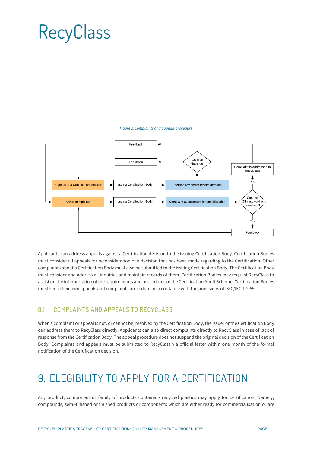#### *Figure 2. Complaints and appeals procedure*



Applicants can address appeals against a Certification decision to the issuing Certification Body. Certification Bodies must consider all appeals for reconsideration of a decision that has been made regarding to the Certification. Other complaints about a Certification Body must also be submitted to the issuing Certification Body. The Certification Body must consider and address all inquiries and maintain records of them. Certification Bodies may request RecyClass to assist on the interpretation of the requirements and procedures of the Certification Audit Scheme. Certification Bodies must keep their own appeals and complaints procedure in accordance with the provisions of ISO /IEC 17065.

#### 8.1 COMPLAINTS AND APPEALS TO RECYCLASS

When a complaint or appeal is not, or cannot be, resolved by the Certification Body, the issuer or the Certification Body can address them to RecyClass directly. Applicants can also direct complaints directly to RecyClass in case of lack of response from the Certification Body. The appeal procedure does not suspend the original decision of the Certification Body. Complaints and appeals must be submitted to RecyClass via official letter within one month of the formal notification of the Certification decision.

### <span id="page-6-0"></span>9. ELEGIBILITY TO APPLY FOR A CERTIFICATION

Any product, component or family of products containing recycled plastics may apply for Certification. Namely, compounds, semi-finished or finished products or components which are either ready for commercialisation or are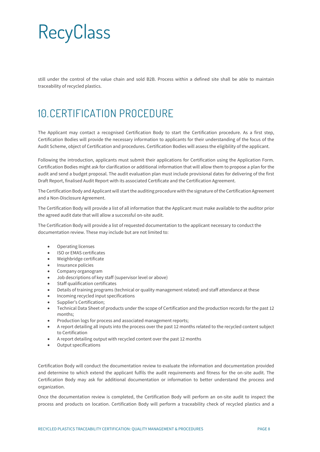still under the control of the value chain and sold B2B. Process within a defined site shall be able to maintain traceability of recycled plastics.

### <span id="page-7-0"></span>10.CERTIFICATION PROCEDURE

The Applicant may contact a recognised Certification Body to start the Certification procedure. As a first step, Certification Bodies will provide the necessary information to applicants for their understanding of the focus of the Audit Scheme, object of Certification and procedures. Certification Bodies will assess the eligibility of the applicant.

Following the introduction, applicants must submit their applications for Certification using the Application Form. Certification Bodies might ask for clarification or additional information that will allow them to propose a plan for the audit and send a budget proposal. The audit evaluation plan must include provisional dates for delivering of the first Draft Report, finalised Audit Report with its associated Certificate and the Certification Agreement.

The Certification Body and Applicant will start the auditing procedure with the signature of the Certification Agreement and a Non-Disclosure Agreement.

The Certification Body will provide a list of all information that the Applicant must make available to the auditor prior the agreed audit date that will allow a successful on-site audit.

The Certification Body will provide a list of requested documentation to the applicant necessary to conduct the documentation review. These may include but are not limited to:

- Operating licenses
- ISO or EMAS certificates
- Weighbridge certificate
- Insurance policies
- Company organogram
- Job descriptions of key staff (supervisor level or above)
- Staff qualification certificates
- Details of training programs (technical or quality management related) and staff attendance at these
- Incoming recycled input specifications
- Supplier's Certification;
- Technical Data Sheet of products under the scope of Certification and the production records for the past 12 months;
- Production logs for process and associated management reports;
- A report detailing all inputs into the process over the past 12 months related to the recycled content subject to Certification
- A report detailing output with recycled content over the past 12 months
- Output specifications

Certification Body will conduct the documentation review to evaluate the information and documentation provided and determine to which extend the applicant fulfils the audit requirements and fitness for the on-site audit. The Certification Body may ask for additional documentation or information to better understand the process and organization.

Once the documentation review is completed, the Certification Body will perform an on-site audit to inspect the process and products on location. Certification Body will perform a traceability check of recycled plastics and a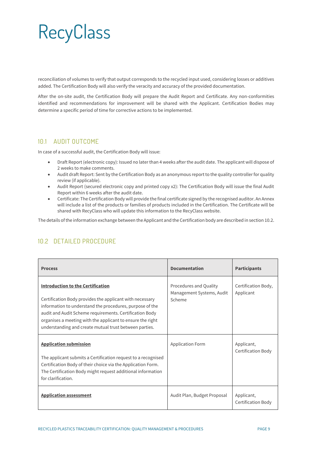reconciliation of volumes to verify that output corresponds to the recycled input used, considering losses or additives added. The Certification Body will also verify the veracity and accuracy of the provided documentation.

After the on-site audit, the Certification Body will prepare the Audit Report and Certificate. Any non-conformities identified and recommendations for improvement will be shared with the Applicant. Certification Bodies may determine a specific period of time for corrective actions to be implemented.

#### 10.1 AUDIT OUTCOME

In case of a successful audit, the Certification Body will issue:

- Draft Report (electronic copy): Issued no later than 4 weeks after the audit date. The applicant will dispose of 2 weeks to make comments.
- Audit draft Report: Sent by the Certification Body as an anonymous report to the quality controller for quality review (if applicable).
- Audit Report (secured electronic copy and printed copy x2): The Certification Body will issue the final Audit Report within 6 weeks after the audit date.
- Certificate: The Certification Body will provide the final certificate signed by the recognised auditor. An Annex will include a list of the products or families of products included in the Certification. The Certificate will be shared with RecyClass who will update this information to the RecyClass website.

The details of the information exchange between the Applicant and the Certification body are described in section 10.2.

| <b>Process</b>                                                                                                                                                                                                                                                                                                                                      | <b>Documentation</b>                                          | <b>Participants</b>              |
|-----------------------------------------------------------------------------------------------------------------------------------------------------------------------------------------------------------------------------------------------------------------------------------------------------------------------------------------------------|---------------------------------------------------------------|----------------------------------|
| <b>Introduction to the Certification</b><br>Certification Body provides the applicant with necessary<br>information to understand the procedures, purpose of the<br>audit and Audit Scheme requirements. Certification Body<br>organises a meeting with the applicant to ensure the right<br>understanding and create mutual trust between parties. | Procedures and Quality<br>Management Systems, Audit<br>Scheme | Certification Body,<br>Applicant |
| <b>Application submission</b><br>The applicant submits a Certification request to a recognised<br>Certification Body of their choice via the Application Form.<br>The Certification Body might request additional information<br>for clarification.                                                                                                 | <b>Application Form</b>                                       | Applicant,<br>Certification Body |
| <b>Application assessment</b>                                                                                                                                                                                                                                                                                                                       | Audit Plan, Budget Proposal                                   | Applicant,<br>Certification Body |

#### 10.2 DETAILED PROCEDURE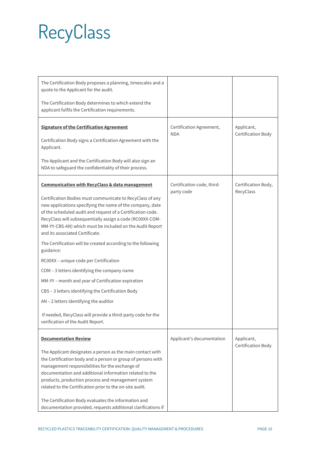| The Certification Body proposes a planning, timescales and a<br>quote to the Applicant for the audit.                                                                                                                                                                                                                                                      |                                          |                                         |
|------------------------------------------------------------------------------------------------------------------------------------------------------------------------------------------------------------------------------------------------------------------------------------------------------------------------------------------------------------|------------------------------------------|-----------------------------------------|
| The Certification Body determines to which extend the<br>applicant fulfils the Certification requirements.                                                                                                                                                                                                                                                 |                                          |                                         |
| <b>Signature of the Certification Agreement</b>                                                                                                                                                                                                                                                                                                            | Certification Agreement,<br><b>NDA</b>   | Applicant,<br><b>Certification Body</b> |
| Certification Body signs a Certification Agreement with the<br>Applicant.                                                                                                                                                                                                                                                                                  |                                          |                                         |
| The Applicant and the Certification Body will also sign an<br>NDA to safeguard the confidentiality of their process.                                                                                                                                                                                                                                       |                                          |                                         |
| <b>Communication with RecyClass &amp; data management</b>                                                                                                                                                                                                                                                                                                  | Certification code, third-<br>party code | Certification Body,<br>RecyClass        |
| Certification Bodies must communicate to RecyClass of any<br>new applications specifying the name of the company, date<br>of the scheduled audit and request of a Certification code.<br>RecyClass will subsequentially assign a code (RC00XX-COM-<br>MM-YY-CBS-AN) which must be included on the Audit Report<br>and its associated Certificate.          |                                          |                                         |
| The Certification will be created according to the following<br>guidance:                                                                                                                                                                                                                                                                                  |                                          |                                         |
| RC00XX - unique code per Certification                                                                                                                                                                                                                                                                                                                     |                                          |                                         |
| COM - 3 letters identifying the company name                                                                                                                                                                                                                                                                                                               |                                          |                                         |
| MM-YY - month and year of Certification expiration                                                                                                                                                                                                                                                                                                         |                                          |                                         |
| CBS - 3 letters identifying the Certification Body                                                                                                                                                                                                                                                                                                         |                                          |                                         |
| AN - 2 letters identifying the auditor                                                                                                                                                                                                                                                                                                                     |                                          |                                         |
| If needed, RecyClass will provide a third-party code for the<br>verification of the Audit Report.                                                                                                                                                                                                                                                          |                                          |                                         |
| <b>Documentation Review</b>                                                                                                                                                                                                                                                                                                                                | Applicant's documentation                | Applicant,<br><b>Certification Body</b> |
| The Applicant designates a person as the main contact with<br>the Certification body and a person or group of persons with<br>management responsibilities for the exchange of<br>documentation and additional information related to the<br>products, production process and management system<br>related to the Certification prior to the on-site audit. |                                          |                                         |
| The Certification Body evaluates the information and<br>documentation provided, requests additional clarifications if                                                                                                                                                                                                                                      |                                          |                                         |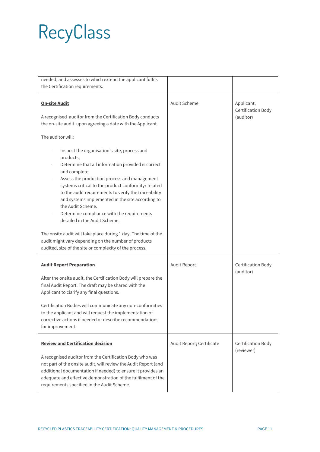| needed, and assesses to which extend the applicant fulfils                                                                                                                                                                                                                                                                                                                                                                                                                                                                                                                                                                                   |                           |                                                      |
|----------------------------------------------------------------------------------------------------------------------------------------------------------------------------------------------------------------------------------------------------------------------------------------------------------------------------------------------------------------------------------------------------------------------------------------------------------------------------------------------------------------------------------------------------------------------------------------------------------------------------------------------|---------------------------|------------------------------------------------------|
| the Certification requirements.                                                                                                                                                                                                                                                                                                                                                                                                                                                                                                                                                                                                              |                           |                                                      |
| <b>On-site Audit</b><br>A recognised auditor from the Certification Body conducts<br>the on-site audit upon agreeing a date with the Applicant.                                                                                                                                                                                                                                                                                                                                                                                                                                                                                              | Audit Scheme              | Applicant,<br><b>Certification Body</b><br>(auditor) |
| The auditor will:                                                                                                                                                                                                                                                                                                                                                                                                                                                                                                                                                                                                                            |                           |                                                      |
| Inspect the organisation's site, process and<br>products;<br>Determine that all information provided is correct<br>and complete;<br>Assess the production process and management<br>systems critical to the product conformity/ related<br>to the audit requirements to verify the traceability<br>and systems implemented in the site according to<br>the Audit Scheme.<br>Determine compliance with the requirements<br>detailed in the Audit Scheme.<br>The onsite audit will take place during 1 day. The time of the<br>audit might vary depending on the number of products<br>audited, size of the site or complexity of the process. |                           |                                                      |
| <b>Audit Report Preparation</b>                                                                                                                                                                                                                                                                                                                                                                                                                                                                                                                                                                                                              | Audit Report              | Certification Body<br>(auditor)                      |
| After the onsite audit, the Certification Body will prepare the<br>final Audit Report. The draft may be shared with the<br>Applicant to clarify any final questions.                                                                                                                                                                                                                                                                                                                                                                                                                                                                         |                           |                                                      |
| Certification Bodies will communicate any non-conformities<br>to the applicant and will request the implementation of<br>corrective actions if needed or describe recommendations<br>for improvement.                                                                                                                                                                                                                                                                                                                                                                                                                                        |                           |                                                      |
| <b>Review and Certification decision</b>                                                                                                                                                                                                                                                                                                                                                                                                                                                                                                                                                                                                     | Audit Report; Certificate | Certification Body<br>(reviewer)                     |
| A recognised auditor from the Certification Body who was<br>not part of the onsite audit, will review the Audit Report (and<br>additional documentation if needed) to ensure it provides an<br>adequate and effective demonstration of the fulfilment of the<br>requirements specified in the Audit Scheme.                                                                                                                                                                                                                                                                                                                                  |                           |                                                      |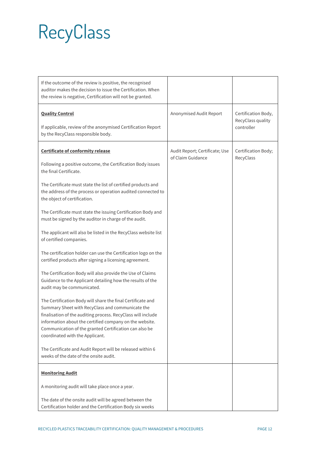| If the outcome of the review is positive, the recognised<br>auditor makes the decision to issue the Certification. When<br>the review is negative, Certification will not be granted.                                                                                                                                                   |                                                     |                                                        |
|-----------------------------------------------------------------------------------------------------------------------------------------------------------------------------------------------------------------------------------------------------------------------------------------------------------------------------------------|-----------------------------------------------------|--------------------------------------------------------|
| <b>Quality Control</b><br>If applicable, review of the anonymised Certification Report<br>by the RecyClass responsible body.                                                                                                                                                                                                            | Anonymised Audit Report                             | Certification Body,<br>RecyClass quality<br>controller |
| <b>Certificate of conformity release</b>                                                                                                                                                                                                                                                                                                | Audit Report; Certificate; Use<br>of Claim Guidance | Certification Body;<br>RecyClass                       |
| Following a positive outcome, the Certification Body issues<br>the final Certificate.                                                                                                                                                                                                                                                   |                                                     |                                                        |
| The Certificate must state the list of certified products and<br>the address of the process or operation audited connected to<br>the object of certification.                                                                                                                                                                           |                                                     |                                                        |
| The Certificate must state the issuing Certification Body and<br>must be signed by the auditor in charge of the audit.                                                                                                                                                                                                                  |                                                     |                                                        |
| The applicant will also be listed in the RecyClass website list<br>of certified companies.                                                                                                                                                                                                                                              |                                                     |                                                        |
| The certification holder can use the Certification logo on the<br>certified products after signing a licensing agreement.                                                                                                                                                                                                               |                                                     |                                                        |
| The Certification Body will also provide the Use of Claims<br>Guidance to the Applicant detailing how the results of the<br>audit may be communicated.                                                                                                                                                                                  |                                                     |                                                        |
| The Certification Body will share the final Certificate and<br>Summary Sheet with RecyClass and communicate the<br>finalisation of the auditing process. RecyClass will include<br>information about the certified company on the website.<br>Communication of the granted Certification can also be<br>coordinated with the Applicant. |                                                     |                                                        |
| The Certificate and Audit Report will be released within 6<br>weeks of the date of the onsite audit.                                                                                                                                                                                                                                    |                                                     |                                                        |
| <b>Monitoring Audit</b>                                                                                                                                                                                                                                                                                                                 |                                                     |                                                        |
| A monitoring audit will take place once a year.                                                                                                                                                                                                                                                                                         |                                                     |                                                        |
| The date of the onsite audit will be agreed between the<br>Certification holder and the Certification Body six weeks                                                                                                                                                                                                                    |                                                     |                                                        |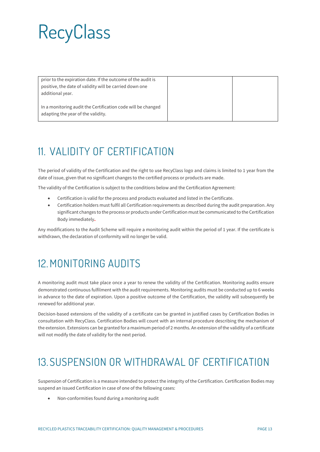prior to the expiration date. If the outcome of the audit is positive, the date of validity will be carried down one additional year.

In a monitoring audit the Certification code will be changed adapting the year of the validity.

### <span id="page-12-0"></span>11. VALIDITY OF CERTIFICATION

The period of validity of the Certification and the right to use RecyClass logo and claims is limited to 1 year from the date of issue, given that no significant changes to the certified process or products are made.

The validity of the Certification is subject to the conditions below and the Certification Agreement:

- Certification is valid for the process and products evaluated and listed in the Certificate.
- Certification holders must fulfil all Certification requirements as described during the audit preparation. Any significant changes to the process or products under Certification must be communicated to the Certification Body immediately**.**

Any modifications to the Audit Scheme will require a monitoring audit within the period of 1 year. If the certificate is withdrawn, the declaration of conformity will no longer be valid.

#### <span id="page-12-1"></span>12.MONITORING AUDITS

A monitoring audit must take place once a year to renew the validity of the Certification. Monitoring audits ensure demonstrated continuous fulfilment with the audit requirements. Monitoring audits must be conducted up to 6 weeks in advance to the date of expiration. Upon a positive outcome of the Certification, the validity will subsequently be renewed for additional year.

Decision-based extensions of the validity of a certificate can be granted in justified cases by Certification Bodies in consultation with RecyClass. Certification Bodies will count with an internal procedure describing the mechanism of the extension. Extensions can be granted for a maximum period of 2 months. An extension of the validity of a certificate will not modify the date of validity for the next period.

#### <span id="page-12-2"></span>13. SUSPENSION OR WITHDRAWAL OF CERTIFICATION

Suspension of Certification is a measure intended to protect the integrity of the Certification. Certification Bodies may suspend an issued Certification in case of one of the following cases:

• Non-conformities found during a monitoring audit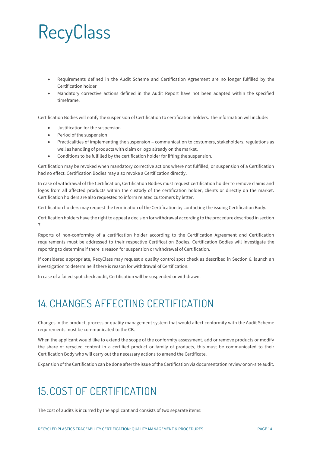- Requirements defined in the Audit Scheme and Certification Agreement are no longer fulfilled by the Certification holder
- Mandatory corrective actions defined in the Audit Report have not been adapted within the specified timeframe.

Certification Bodies will notify the suspension of Certification to certification holders. The information will include:

- Justification for the suspension
- Period of the suspension
- Practicalities of implementing the suspension communication to costumers, stakeholders, regulations as well as handling of products with claim or logo already on the market.
- Conditions to be fulfilled by the certification holder for lifting the suspension.

Certification may be revoked when mandatory corrective actions where not fulfilled, or suspension of a Certification had no effect. Certification Bodies may also revoke a Certification directly.

In case of withdrawal of the Certification, Certification Bodies must request certification holder to remove claims and logos from all affected products within the custody of the certification holder, clients or directly on the market. Certification holders are also requested to inform related customers by letter.

Certification holders may request the termination of the Certification by contacting the issuing Certification Body.

Certification holders have the right to appeal a decision for withdrawal according to the procedure described in section 7.

Reports of non-conformity of a certification holder according to the Certification Agreement and Certification requirements must be addressed to their respective Certification Bodies. Certification Bodies will investigate the reporting to determine if there is reason for suspension or withdrawal of Certification.

If considered appropriate, RecyClass may request a quality control spot check as described in Section 6. launch an investigation to determine if there is reason for withdrawal of Certification.

<span id="page-13-0"></span>In case of a failed spot check audit, Certification will be suspended or withdrawn.

#### 14. CHANGES AFFECTING CERTIFICATION

Changes in the product, process or quality management system that would affect conformity with the Audit Scheme requirements must be communicated to the CB.

When the applicant would like to extend the scope of the conformity assessment, add or remove products or modify the share of recycled content in a certified product or family of products, this must be communicated to their Certification Body who will carry out the necessary actions to amend the Certificate.

<span id="page-13-1"></span>Expansion of the Certification can be done after the issue of the Certification via documentation review or on-site audit.

#### 15. COST OF CERTIFICATION

The cost of audits is incurred by the applicant and consists of two separate items: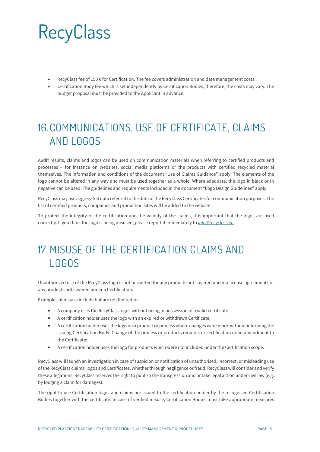- RecyClass fee of 150 € for Certification. The fee covers administration and data management costs.
- Certification Body fee which is set independently by Certification Bodies; therefore, the costs may vary. The budget proposal must be provided to the Applicant in advance.

#### <span id="page-14-0"></span>16.COMMUNICATIONS, USE OF CERTIFICATE, CLAIMS AND LOGOS

Audit results, claims and logos can be used on communication materials when referring to certified products and processes – for instance on websites, social media platforms or the products with certified recycled material themselves. The information and conditions of the document "Use of Claims Guidance" apply. The elements of the logo cannot be altered in any way and must be used together as a whole. Where adequate, the logo in black or in negative can be used. The guidelines and requirements included in the document "Logo Design Guidelines" apply.

RecyClass may use aggregated data referred to the data of the RecyClass Certificates for communication purposes. The list of certified products, companies and production sites will be added to the website.

To protect the integrity of the certification and the validity of the claims, it is important that the logos are used correctly. If you think the logo is being misused, please report it immediately to *[info@recyclass.eu](mailto:info@recyclass.eu)*

### <span id="page-14-1"></span>17 MISUSE OF THE CERTIFICATION CLAIMS AND LOGOS

Unauthorized use of the RecyClass logo is not permitted for any products not covered under a license agreement/for any products not covered under a Certification.

Examples of misuse include but are not limited to:

- A company uses the RecyClass logos without being in possession of a valid certificate.
- A certification holder uses the logo with an expired or withdrawn Certificate;
- A certification holder uses the logo on a product or process where changes were made without informing the issuing Certification Body. Change of the process or products requires re-certification or an amendment to the Certificate;
- A certification holder uses the logo for products which were not included under the Certification scope.

RecyClass will launch an investigation in case of suspicion or notification of unauthorised, incorrect, or misleading use of the RecyClass claims, logos and Certificates, whether through negligence or fraud. RecyClass will consider and verify these allegations. RecyClass reserves the right to publish the transgression and or take legal action under civil law (e.g. by lodging a claim for damages).

The right to use Certification logos and claims are issued to the certification holder by the recognised Certification Bodies together with the certificate. In case of verified misuse, Certification Bodies must take appropriate measures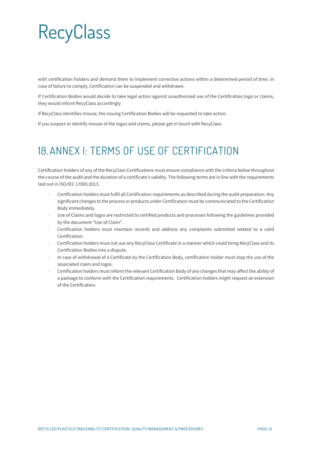with certification holders and demand them to implement corrective actions within a determined period of time. In case of failure to comply, Certification can be suspended and withdrawn.

If Certification Bodies would decide to take legal action against unauthorised use of the Certification logo or claims, they would inform RecyClass accordingly.

If RecyClass identifies misuse, the issuing Certification Bodies will be requested to take action.

<span id="page-15-0"></span>If you suspect or identify misuse of the logos and claims, please get in touch with RecyClass.

#### 18.ANNEX I: TERMS OF USE OF CERTIFICATION

Certification holders of any of the RecyClass Certifications must ensure compliance with the criteria below throughout the course of the audit and the duration of a certificate's validity. The following terms are in line with the requirements laid out in ISO/IEC 17065:2013.

- Certification holders must fulfil all Certification requirements as described during the audit preparation. Any significant changes to the process or products under Certification must be communicated to the Certification Body immediately.
- Use of Claims and logos are restricted to certified products and processes following the guidelines provided by the document "Use of Claim".
- Certification holders must maintain records and address any complaints submitted related to a valid Certification.
- Certification holders must not use any RecyClass Certificate in a manner which could bring RecyClass and its Certification Bodies into a dispute.
- In case of withdrawal of a Certificate by the Certification Body, certification holder must stop the use of the associated claim and logos.
- Certification holders must inform the relevant Certification Body of any changes that may affect the ability of a package to conform with the Certification requirements. Certification holders might request an extension of the Certification.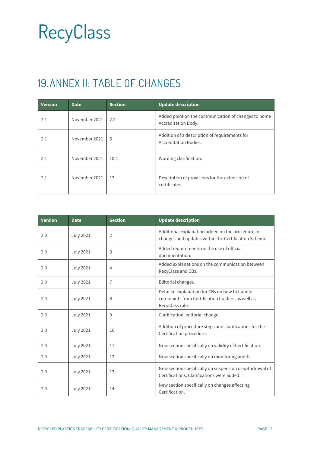### <span id="page-16-0"></span>19.ANNEX II: TABLE OF CHANGES

| <b>Version</b> | <b>Date</b>   | <b>Section</b> | <b>Update description</b>                                                  |
|----------------|---------------|----------------|----------------------------------------------------------------------------|
| 2.1            | November 2021 | 2.2            | Added point on the communication of changes to home<br>Accreditation Body. |
| 2.1            | November 2021 | 5              | Addition of a description of requirements for<br>Accreditation Bodies.     |
| 2.1            | November 2021 | 10.1           | Wording clarification.                                                     |
| 2.1            | November 2021 | 12             | Description of provisions for the extension of<br>certificates.            |

| <b>Version</b> | <b>Date</b>      | <b>Section</b> | <b>Update description</b>                                                                                             |
|----------------|------------------|----------------|-----------------------------------------------------------------------------------------------------------------------|
| 2.0            | <b>July 2021</b> | $\overline{2}$ | Additional explanation added on the procedure for<br>changes and updates within the Certification Scheme.             |
| 2.0            | <b>July 2021</b> | 3              | Added requirements on the use of official<br>documentation.                                                           |
| 2.0            | <b>July 2021</b> | 4              | Added explanations on the communication between<br>RecyClass and CBs.                                                 |
| 2.0            | <b>July 2021</b> | $\overline{7}$ | Editorial changes.                                                                                                    |
| 2.0            | <b>July 2021</b> | 8              | Detailed explanation for CBs on how to handle<br>complaints from Certification holders, as well as<br>RecyClass role. |
| 2.0            | <b>July 2021</b> | 9              | Clarification, editorial change.                                                                                      |
| 2.0            | <b>July 2021</b> | 10             | Addition of procedure steps and clarifications for the<br>Certification procedure.                                    |
| 2.0            | <b>July 2021</b> | 11             | New section specifically on validity of Certification.                                                                |
| 2.0            | <b>July 2021</b> | 12             | New section specifically on monitoring audits.                                                                        |
| 2.0            | <b>July 2021</b> | 13             | New section specifically on suspension or withdrawal of<br>Certifications. Clarifications were added.                 |
| 2.0            | <b>July 2021</b> | 14             | New section specifically on changes affecting<br>Certification.                                                       |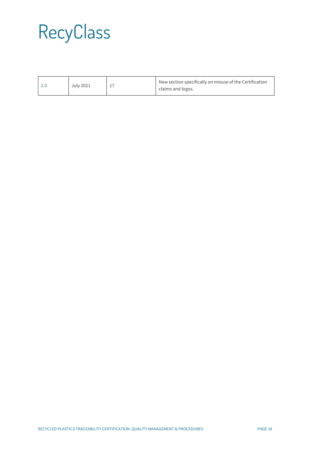|  | July 2021 |  | New section specifically on misuse of the Certification<br>claims and logos. |
|--|-----------|--|------------------------------------------------------------------------------|
|--|-----------|--|------------------------------------------------------------------------------|